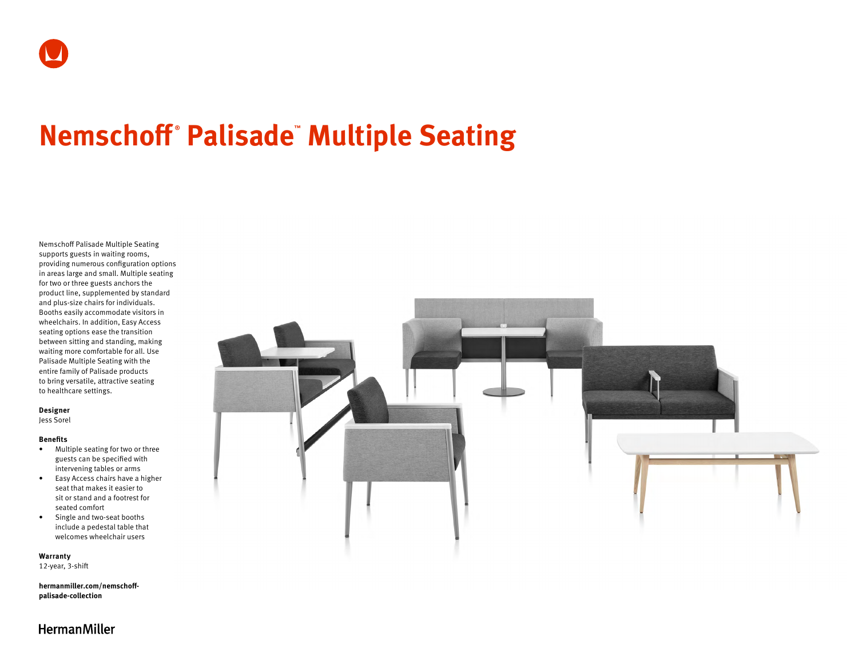# **Nemschoff ® Palisade™ Multiple Seating**

Nemschoff Palisade Multiple Seating supports guests in waiting rooms, providing numerous configuration options in areas large and small. Multiple seating for two or three guests anchors the product line, supplemented by standard and plus-size chairs for individuals. Booths easily accommodate visitors in wheelchairs. In addition, Easy Access seating options ease the transition between sitting and standing, making waiting more comfortable for all. Use Palisade Multiple Seating with the entire family of Palisade products to bring versatile, attractive seating to healthcare settings.

#### **Designer**

Jess Sorel

#### **Benefits**

- Multiple seating for two or three guests can be specified with intervening tables or arms
- Easy Access chairs have a higher seat that makes it easier to sit or stand and a footrest for seated comfort
- Single and two-seat booths include a pedestal table that welcomes wheelchair users

**Warranty**  12-year, 3-shift

**[hermanmiller.com/nemschoff](http://hermanmiller.com/nemschoff-palisade-collection)[palisade-collection](http://hermanmiller.com/nemschoff-palisade-collection)**



# **HermanMiller**